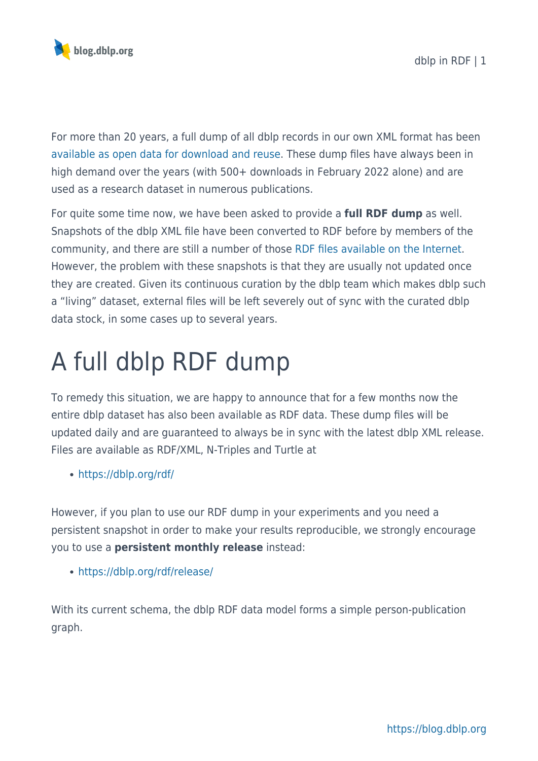

For more than 20 years, a full dump of all dblp records in our own XML format has been [available as open data for download and reuse](https://dblp.org/xml/release/). These dump files have always been in high demand over the years (with 500+ downloads in February 2022 alone) and are used as a research dataset in numerous publications.

For quite some time now, we have been asked to provide a **full RDF dump** as well. Snapshots of the dblp XML file have been converted to RDF before by members of the community, and there are still a number of those [RDF files available on the Internet.](https://lod-cloud.net/datasets?search=dblp) However, the problem with these snapshots is that they are usually not updated once they are created. Given its continuous curation by the dblp team which makes dblp such a "living" dataset, external files will be left severely out of sync with the curated dblp data stock, in some cases up to several years.

## A full dblp RDF dump

To remedy this situation, we are happy to announce that for a few months now the entire dblp dataset has also been available as RDF data. These dump files will be updated daily and are guaranteed to always be in sync with the latest dblp XML release. Files are available as RDF/XML, N-Triples and Turtle at

<https://dblp.org/rdf/>

However, if you plan to use our RDF dump in your experiments and you need a persistent snapshot in order to make your results reproducible, we strongly encourage you to use a **persistent monthly release** instead:

<https://dblp.org/rdf/release/>

With its current schema, the dblp RDF data model forms a simple person-publication graph.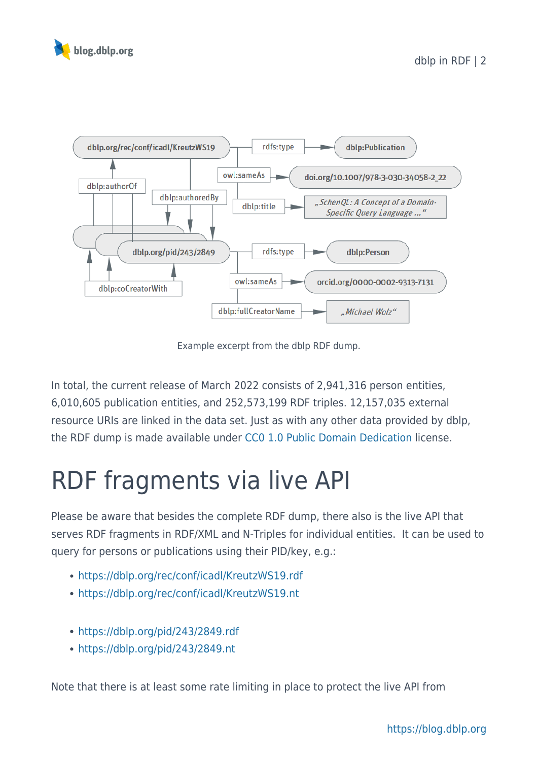



Example excerpt from the dblp RDF dump.

In total, the current release of March 2022 consists of 2,941,316 person entities, 6,010,605 publication entities, and 252,573,199 RDF triples. 12,157,035 external resource URIs are linked in the data set. Just as with any other data provided by dblp, the RDF dump is made available under [CC0 1.0 Public Domain Dedication](https://blog.dblp.org/2019/11/24/licence-change-to-cc-0/) license.

## RDF fragments via live API

Please be aware that besides the complete RDF dump, there also is the live API that serves RDF fragments in RDF/XML and N-Triples for individual entities. It can be used to query for persons or publications using their PID/key, e.g.:

- <https://dblp.org/rec/conf/icadl/KreutzWS19.rdf>
- <https://dblp.org/rec/conf/icadl/KreutzWS19.nt>
- <https://dblp.org/pid/243/2849.rdf>
- <https://dblp.org/pid/243/2849.nt>

Note that there is at least some rate limiting in place to protect the live API from